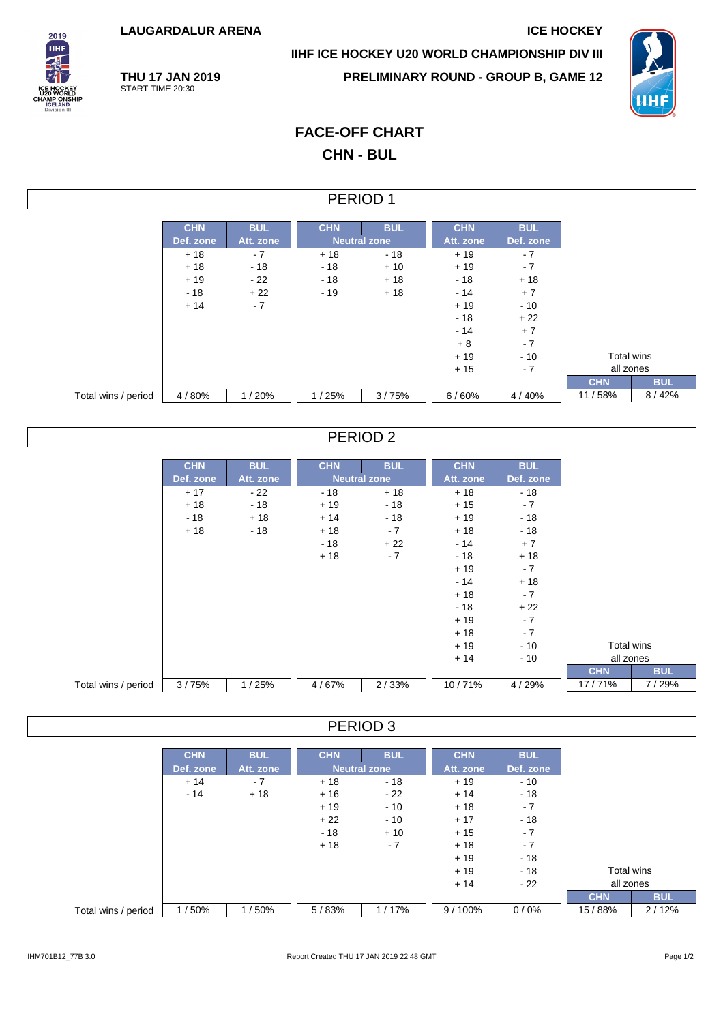**LAUGARDALUR ARENA ICE HOCKEY**

**THU 17 JAN 2019** START TIME 20:30



**IIHF ICE HOCKEY U20 WORLD CHAMPIONSHIP DIV III**

**PRELIMINARY ROUND - GROUP B, GAME 12**



# **FACE-OFF CHART CHN - BUL**

### PERIOD 1

|                     | <b>CHN</b> | <b>BUL</b> | <b>CHN</b> | <b>BUL</b>          | <b>CHN</b> | <b>BUL</b> |            |            |
|---------------------|------------|------------|------------|---------------------|------------|------------|------------|------------|
|                     | Def. zone  | Att. zone  |            | <b>Neutral zone</b> | Att. zone  | Def. zone  |            |            |
|                     | $+18$      | $-7$       | $+18$      | - 18                | $+19$      | - 7        |            |            |
|                     | $+18$      | $-18$      | $-18$      | $+10$               | $+19$      | $-7$       |            |            |
|                     | $+19$      | - 22       | $-18$      | $+18$               | $-18$      | $+18$      |            |            |
|                     | $-18$      | $+22$      | $-19$      | $+18$               | $-14$      | $+7$       |            |            |
|                     | $+14$      | $-7$       |            |                     | $+19$      | $-10$      |            |            |
|                     |            |            |            |                     | $-18$      | $+22$      |            |            |
|                     |            |            |            |                     | $-14$      | $+7$       |            |            |
|                     |            |            |            |                     | $+8$       | $-7$       |            |            |
|                     |            |            |            |                     | $+19$      | $-10$      | Total wins |            |
|                     |            |            |            |                     | $+15$      | $-7$       | all zones  |            |
|                     |            |            |            |                     |            |            | <b>CHN</b> | <b>BUL</b> |
| Total wins / period | 4/80%      | 1/20%      | 1/25%      | 3/75%               | 6/60%      | 4/40%      | 11/58%     | 8/42%      |

## PERIOD 2

|                     | <b>CHN</b> | <b>BUL</b> | <b>CHN</b> | <b>BUL</b>          | <b>CHN</b> | <b>BUL</b> |            |  |            |  |            |
|---------------------|------------|------------|------------|---------------------|------------|------------|------------|--|------------|--|------------|
|                     | Def. zone  | Att. zone  |            | <b>Neutral zone</b> | Att. zone  | Def. zone  |            |  |            |  |            |
|                     |            |            |            |                     |            |            |            |  |            |  |            |
|                     | $+17$      | - 22       | $-18$      | $+18$               | $+18$      | $-18$      |            |  |            |  |            |
|                     | $+18$      | - 18       | $+19$      | - 18                | $+15$      | $-7$       |            |  |            |  |            |
|                     | $-18$      | $+18$      | $+14$      | - 18                | $+19$      | $-18$      |            |  |            |  |            |
|                     | $+18$      | $-18$      | $+18$      | $-7$                | $+18$      | $-18$      |            |  |            |  |            |
|                     |            |            | $-18$      | $+22$               | - 14       | $+7$       |            |  |            |  |            |
|                     |            |            | $+18$      | $-7$                | $-18$      | $+18$      |            |  |            |  |            |
|                     |            |            |            |                     | $+19$      | $-7$       |            |  |            |  |            |
|                     |            |            |            |                     | $-14$      | $+18$      |            |  |            |  |            |
|                     |            |            |            |                     | $+18$      | $-7$       |            |  |            |  |            |
|                     |            |            |            |                     | - 18       | $+22$      |            |  |            |  |            |
|                     |            |            |            |                     | $+19$      | $-7$       |            |  |            |  |            |
|                     |            |            |            |                     | $+18$      | $-7$       |            |  |            |  |            |
|                     |            |            |            |                     | $+19$      | $-10$      |            |  | Total wins |  |            |
|                     |            |            |            |                     | $+14$      | $-10$      |            |  | all zones  |  |            |
|                     |            |            |            |                     |            |            | <b>CHN</b> |  |            |  | <b>BUL</b> |
| Total wins / period | 3/75%      | 1/25%      | 4/67%      | 2/33%               | 10/71%     | 4/29%      | 17/71%     |  |            |  | 7/29%      |

#### PERIOD 3

|                     | <b>CHN</b> | <b>BUL</b> | <b>CHN</b> | <b>BUL</b>          | <b>CHN</b> | <b>BUL</b> |            |            |
|---------------------|------------|------------|------------|---------------------|------------|------------|------------|------------|
|                     | Def. zone  | Att. zone  |            | <b>Neutral zone</b> | Att. zone  | Def. zone  |            |            |
|                     | $+14$      | $-7$       | $+18$      | $-18$               | $+19$      | $-10$      |            |            |
|                     | $-14$      | $+18$      | $+16$      | $-22$               | $+14$      | $-18$      |            |            |
|                     |            |            | $+19$      | $-10$               | $+18$      | $-7$       |            |            |
|                     |            |            | $+22$      | $-10$               | $+17$      | $-18$      |            |            |
|                     |            |            | $-18$      | $+10$               | $+15$      | $-7$       |            |            |
|                     |            |            | $+18$      | $-7$                | $+18$      | $-7$       |            |            |
|                     |            |            |            |                     | $+19$      | $-18$      |            |            |
|                     |            |            |            |                     | $+19$      | $-18$      | Total wins |            |
|                     |            |            |            |                     | $+14$      | $-22$      | all zones  |            |
|                     |            |            |            |                     |            |            | <b>CHN</b> | <b>BUL</b> |
| Total wins / period | 1/50%      | 1/50%      | 5/83%      | 1/17%               | $9/100\%$  | 0/0%       | 15/88%     | 2/12%      |